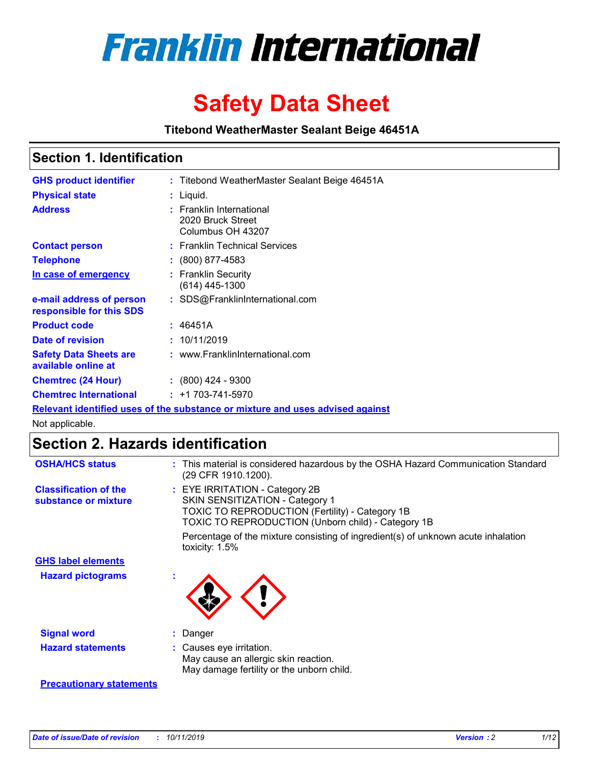

# **Safety Data Sheet**

**Titebond WeatherMaster Sealant Beige 46451A**

### **Section 1. Identification**

| <b>GHS product identifier</b>                        | : Titebond WeatherMaster Sealant Beige 46451A                                 |
|------------------------------------------------------|-------------------------------------------------------------------------------|
| <b>Physical state</b>                                | : Liquid.                                                                     |
| <b>Address</b>                                       | <b>Franklin International</b><br>2020 Bruck Street<br>Columbus OH 43207       |
| <b>Contact person</b>                                | : Franklin Technical Services                                                 |
| <b>Telephone</b>                                     | : (800) 877-4583                                                              |
| In case of emergency                                 | : Franklin Security<br>$(614)$ 445-1300                                       |
| e-mail address of person<br>responsible for this SDS | : SDS@FranklinInternational.com                                               |
| <b>Product code</b>                                  | : 46451A                                                                      |
| Date of revision                                     | : 10/11/2019                                                                  |
| <b>Safety Data Sheets are</b><br>available online at | : www.FranklinInternational.com                                               |
| <b>Chemtrec (24 Hour)</b>                            | $\div$ (800) 424 - 9300                                                       |
| <b>Chemtrec International</b>                        | $: +1703 - 741 - 5970$                                                        |
|                                                      | Relevant identified uses of the substance or mixture and uses advised against |

Not applicable.

## **Section 2. Hazards identification**

| <b>OSHA/HCS status</b>                               | : This material is considered hazardous by the OSHA Hazard Communication Standard<br>(29 CFR 1910.1200).                                                                          |
|------------------------------------------------------|-----------------------------------------------------------------------------------------------------------------------------------------------------------------------------------|
| <b>Classification of the</b><br>substance or mixture | : EYE IRRITATION - Category 2B<br>SKIN SENSITIZATION - Category 1<br><b>TOXIC TO REPRODUCTION (Fertility) - Category 1B</b><br>TOXIC TO REPRODUCTION (Unborn child) - Category 1B |
|                                                      | Percentage of the mixture consisting of ingredient(s) of unknown acute inhalation<br>toxicity: $1.5\%$                                                                            |
| <b>GHS label elements</b>                            |                                                                                                                                                                                   |
| <b>Hazard pictograms</b>                             |                                                                                                                                                                                   |
| <b>Signal word</b>                                   | : Danger                                                                                                                                                                          |
| <b>Hazard statements</b>                             | : Causes eye irritation.<br>May cause an allergic skin reaction.<br>May damage fertility or the unborn child.                                                                     |
| <b>Precautionary statements</b>                      |                                                                                                                                                                                   |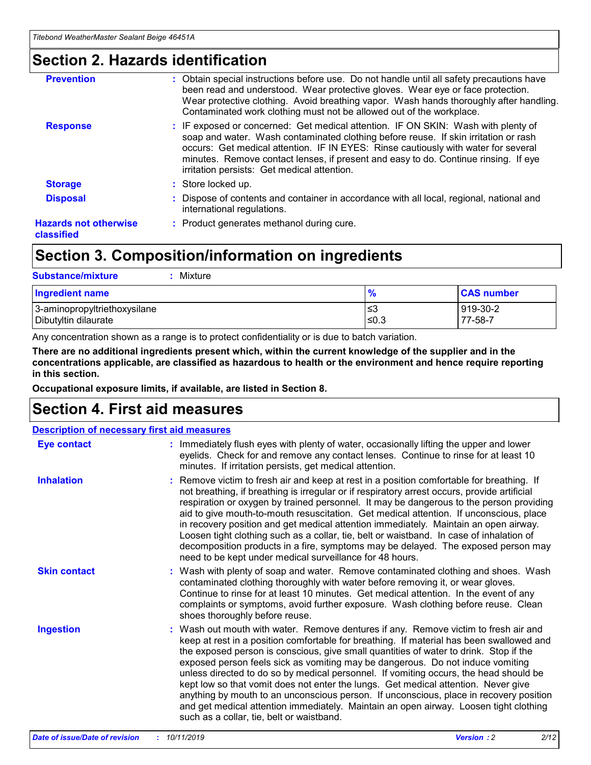### **Section 2. Hazards identification**

| <b>Prevention</b>                          | : Obtain special instructions before use. Do not handle until all safety precautions have<br>been read and understood. Wear protective gloves. Wear eye or face protection.<br>Wear protective clothing. Avoid breathing vapor. Wash hands thoroughly after handling.<br>Contaminated work clothing must not be allowed out of the workplace.                                                        |
|--------------------------------------------|------------------------------------------------------------------------------------------------------------------------------------------------------------------------------------------------------------------------------------------------------------------------------------------------------------------------------------------------------------------------------------------------------|
| <b>Response</b>                            | : IF exposed or concerned: Get medical attention. IF ON SKIN: Wash with plenty of<br>soap and water. Wash contaminated clothing before reuse. If skin irritation or rash<br>occurs: Get medical attention. IF IN EYES: Rinse cautiously with water for several<br>minutes. Remove contact lenses, if present and easy to do. Continue rinsing. If eye<br>irritation persists: Get medical attention. |
| <b>Storage</b>                             | : Store locked up.                                                                                                                                                                                                                                                                                                                                                                                   |
| <b>Disposal</b>                            | : Dispose of contents and container in accordance with all local, regional, national and<br>international regulations.                                                                                                                                                                                                                                                                               |
| <b>Hazards not otherwise</b><br>classified | : Product generates methanol during cure.                                                                                                                                                                                                                                                                                                                                                            |
|                                            |                                                                                                                                                                                                                                                                                                                                                                                                      |

### **Section 3. Composition/information on ingredients**

| <b>Substance/mixture</b><br>Mixture                  |                   |                     |
|------------------------------------------------------|-------------------|---------------------|
| <b>Ingredient name</b>                               | $\frac{9}{6}$     | <b>CAS number</b>   |
| 3-aminopropyltriethoxysilane<br>Dibutyltin dilaurate | l≤3<br>$\leq 0.3$ | 919-30-2<br>77-58-7 |

Any concentration shown as a range is to protect confidentiality or is due to batch variation.

**There are no additional ingredients present which, within the current knowledge of the supplier and in the concentrations applicable, are classified as hazardous to health or the environment and hence require reporting in this section.**

**Occupational exposure limits, if available, are listed in Section 8.**

### **Section 4. First aid measures**

| <b>Description of necessary first aid measures</b> |                                                                                                                                                                                                                                                                                                                                                                                                                                                                                                                                                                                                                                                                                                                                                                           |  |  |  |
|----------------------------------------------------|---------------------------------------------------------------------------------------------------------------------------------------------------------------------------------------------------------------------------------------------------------------------------------------------------------------------------------------------------------------------------------------------------------------------------------------------------------------------------------------------------------------------------------------------------------------------------------------------------------------------------------------------------------------------------------------------------------------------------------------------------------------------------|--|--|--|
| <b>Eye contact</b>                                 | : Immediately flush eyes with plenty of water, occasionally lifting the upper and lower<br>eyelids. Check for and remove any contact lenses. Continue to rinse for at least 10<br>minutes. If irritation persists, get medical attention.                                                                                                                                                                                                                                                                                                                                                                                                                                                                                                                                 |  |  |  |
| <b>Inhalation</b>                                  | : Remove victim to fresh air and keep at rest in a position comfortable for breathing. If<br>not breathing, if breathing is irregular or if respiratory arrest occurs, provide artificial<br>respiration or oxygen by trained personnel. It may be dangerous to the person providing<br>aid to give mouth-to-mouth resuscitation. Get medical attention. If unconscious, place<br>in recovery position and get medical attention immediately. Maintain an open airway.<br>Loosen tight clothing such as a collar, tie, belt or waistband. In case of inhalation of<br>decomposition products in a fire, symptoms may be delayed. The exposed person may<br>need to be kept under medical surveillance for 48 hours.                                                       |  |  |  |
| <b>Skin contact</b>                                | : Wash with plenty of soap and water. Remove contaminated clothing and shoes. Wash<br>contaminated clothing thoroughly with water before removing it, or wear gloves.<br>Continue to rinse for at least 10 minutes. Get medical attention. In the event of any<br>complaints or symptoms, avoid further exposure. Wash clothing before reuse. Clean<br>shoes thoroughly before reuse.                                                                                                                                                                                                                                                                                                                                                                                     |  |  |  |
| <b>Ingestion</b>                                   | : Wash out mouth with water. Remove dentures if any. Remove victim to fresh air and<br>keep at rest in a position comfortable for breathing. If material has been swallowed and<br>the exposed person is conscious, give small quantities of water to drink. Stop if the<br>exposed person feels sick as vomiting may be dangerous. Do not induce vomiting<br>unless directed to do so by medical personnel. If vomiting occurs, the head should be<br>kept low so that vomit does not enter the lungs. Get medical attention. Never give<br>anything by mouth to an unconscious person. If unconscious, place in recovery position<br>and get medical attention immediately. Maintain an open airway. Loosen tight clothing<br>such as a collar, tie, belt or waistband. |  |  |  |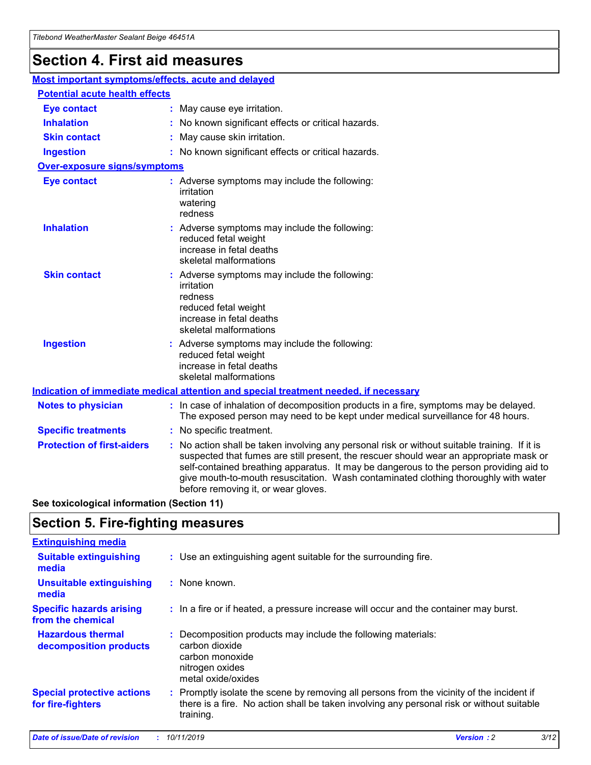## **Section 4. First aid measures**

| Most important symptoms/effects, acute and delayed |                                       |                                                                                                                                                                                                                                                                                                                                                                                                                 |  |  |  |
|----------------------------------------------------|---------------------------------------|-----------------------------------------------------------------------------------------------------------------------------------------------------------------------------------------------------------------------------------------------------------------------------------------------------------------------------------------------------------------------------------------------------------------|--|--|--|
|                                                    | <b>Potential acute health effects</b> |                                                                                                                                                                                                                                                                                                                                                                                                                 |  |  |  |
| <b>Eye contact</b>                                 |                                       | : May cause eye irritation.                                                                                                                                                                                                                                                                                                                                                                                     |  |  |  |
| <b>Inhalation</b>                                  |                                       | : No known significant effects or critical hazards.                                                                                                                                                                                                                                                                                                                                                             |  |  |  |
| <b>Skin contact</b>                                |                                       | : May cause skin irritation.                                                                                                                                                                                                                                                                                                                                                                                    |  |  |  |
| <b>Ingestion</b>                                   |                                       | : No known significant effects or critical hazards.                                                                                                                                                                                                                                                                                                                                                             |  |  |  |
| <b>Over-exposure signs/symptoms</b>                |                                       |                                                                                                                                                                                                                                                                                                                                                                                                                 |  |  |  |
| <b>Eye contact</b>                                 |                                       | : Adverse symptoms may include the following:<br>irritation<br>watering<br>redness                                                                                                                                                                                                                                                                                                                              |  |  |  |
| <b>Inhalation</b>                                  |                                       | : Adverse symptoms may include the following:<br>reduced fetal weight<br>increase in fetal deaths<br>skeletal malformations                                                                                                                                                                                                                                                                                     |  |  |  |
| <b>Skin contact</b>                                |                                       | : Adverse symptoms may include the following:<br>irritation<br>redness<br>reduced fetal weight<br>increase in fetal deaths<br>skeletal malformations                                                                                                                                                                                                                                                            |  |  |  |
| <b>Ingestion</b>                                   |                                       | : Adverse symptoms may include the following:<br>reduced fetal weight<br>increase in fetal deaths<br>skeletal malformations                                                                                                                                                                                                                                                                                     |  |  |  |
|                                                    |                                       | <b>Indication of immediate medical attention and special treatment needed, if necessary</b>                                                                                                                                                                                                                                                                                                                     |  |  |  |
| <b>Notes to physician</b>                          |                                       | : In case of inhalation of decomposition products in a fire, symptoms may be delayed.<br>The exposed person may need to be kept under medical surveillance for 48 hours.                                                                                                                                                                                                                                        |  |  |  |
| <b>Specific treatments</b>                         |                                       | : No specific treatment.                                                                                                                                                                                                                                                                                                                                                                                        |  |  |  |
| <b>Protection of first-aiders</b>                  |                                       | : No action shall be taken involving any personal risk or without suitable training. If it is<br>suspected that fumes are still present, the rescuer should wear an appropriate mask or<br>self-contained breathing apparatus. It may be dangerous to the person providing aid to<br>give mouth-to-mouth resuscitation. Wash contaminated clothing thoroughly with water<br>before removing it, or wear gloves. |  |  |  |

**See toxicological information (Section 11)**

### **Section 5. Fire-fighting measures**

| <b>Extinguishing media</b>                             |                                                                                                                                                                                                     |
|--------------------------------------------------------|-----------------------------------------------------------------------------------------------------------------------------------------------------------------------------------------------------|
| <b>Suitable extinguishing</b><br>media                 | : Use an extinguishing agent suitable for the surrounding fire.                                                                                                                                     |
| <b>Unsuitable extinguishing</b><br>media               | : None known.                                                                                                                                                                                       |
| <b>Specific hazards arising</b><br>from the chemical   | : In a fire or if heated, a pressure increase will occur and the container may burst.                                                                                                               |
| <b>Hazardous thermal</b><br>decomposition products     | : Decomposition products may include the following materials:<br>carbon dioxide<br>carbon monoxide<br>nitrogen oxides<br>metal oxide/oxides                                                         |
| <b>Special protective actions</b><br>for fire-fighters | : Promptly isolate the scene by removing all persons from the vicinity of the incident if<br>there is a fire. No action shall be taken involving any personal risk or without suitable<br>training. |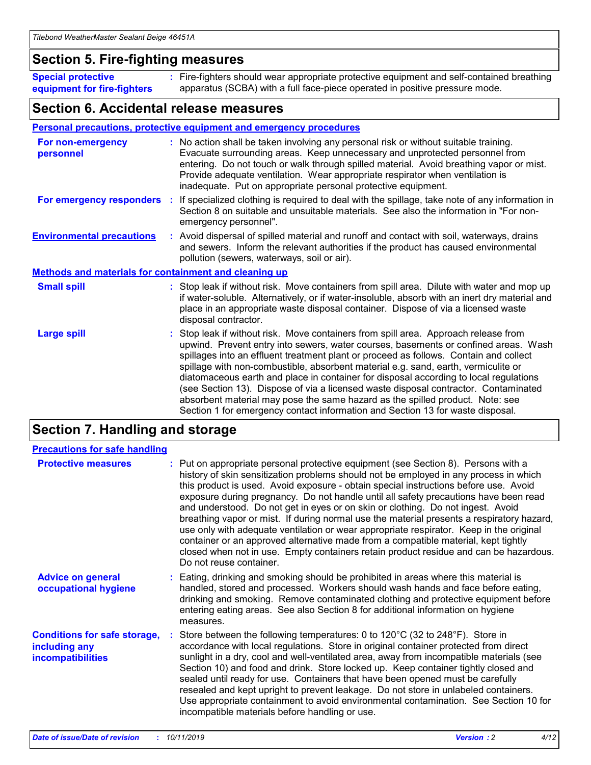### **Section 5. Fire-fighting measures**

**Special protective equipment for fire-fighters** Fire-fighters should wear appropriate protective equipment and self-contained breathing **:** apparatus (SCBA) with a full face-piece operated in positive pressure mode.

### **Section 6. Accidental release measures**

#### **Personal precautions, protective equipment and emergency procedures**

| For non-emergency<br>personnel                               | : No action shall be taken involving any personal risk or without suitable training.<br>Evacuate surrounding areas. Keep unnecessary and unprotected personnel from<br>entering. Do not touch or walk through spilled material. Avoid breathing vapor or mist.<br>Provide adequate ventilation. Wear appropriate respirator when ventilation is<br>inadequate. Put on appropriate personal protective equipment.                                                                                                                                                                                                                                                                                             |
|--------------------------------------------------------------|--------------------------------------------------------------------------------------------------------------------------------------------------------------------------------------------------------------------------------------------------------------------------------------------------------------------------------------------------------------------------------------------------------------------------------------------------------------------------------------------------------------------------------------------------------------------------------------------------------------------------------------------------------------------------------------------------------------|
| For emergency responders                                     | : If specialized clothing is required to deal with the spillage, take note of any information in<br>Section 8 on suitable and unsuitable materials. See also the information in "For non-<br>emergency personnel".                                                                                                                                                                                                                                                                                                                                                                                                                                                                                           |
| <b>Environmental precautions</b>                             | : Avoid dispersal of spilled material and runoff and contact with soil, waterways, drains<br>and sewers. Inform the relevant authorities if the product has caused environmental<br>pollution (sewers, waterways, soil or air).                                                                                                                                                                                                                                                                                                                                                                                                                                                                              |
| <b>Methods and materials for containment and cleaning up</b> |                                                                                                                                                                                                                                                                                                                                                                                                                                                                                                                                                                                                                                                                                                              |
| <b>Small spill</b>                                           | : Stop leak if without risk. Move containers from spill area. Dilute with water and mop up<br>if water-soluble. Alternatively, or if water-insoluble, absorb with an inert dry material and<br>place in an appropriate waste disposal container. Dispose of via a licensed waste<br>disposal contractor.                                                                                                                                                                                                                                                                                                                                                                                                     |
| <b>Large spill</b>                                           | : Stop leak if without risk. Move containers from spill area. Approach release from<br>upwind. Prevent entry into sewers, water courses, basements or confined areas. Wash<br>spillages into an effluent treatment plant or proceed as follows. Contain and collect<br>spillage with non-combustible, absorbent material e.g. sand, earth, vermiculite or<br>diatomaceous earth and place in container for disposal according to local regulations<br>(see Section 13). Dispose of via a licensed waste disposal contractor. Contaminated<br>absorbent material may pose the same hazard as the spilled product. Note: see<br>Section 1 for emergency contact information and Section 13 for waste disposal. |

### **Section 7. Handling and storage**

| <b>Precautions for safe handling</b>                                             |                                                                                                                                                                                                                                                                                                                                                                                                                                                                                                                                                                                                                                                                                                                                                                                                                                                  |
|----------------------------------------------------------------------------------|--------------------------------------------------------------------------------------------------------------------------------------------------------------------------------------------------------------------------------------------------------------------------------------------------------------------------------------------------------------------------------------------------------------------------------------------------------------------------------------------------------------------------------------------------------------------------------------------------------------------------------------------------------------------------------------------------------------------------------------------------------------------------------------------------------------------------------------------------|
| <b>Protective measures</b>                                                       | : Put on appropriate personal protective equipment (see Section 8). Persons with a<br>history of skin sensitization problems should not be employed in any process in which<br>this product is used. Avoid exposure - obtain special instructions before use. Avoid<br>exposure during pregnancy. Do not handle until all safety precautions have been read<br>and understood. Do not get in eyes or on skin or clothing. Do not ingest. Avoid<br>breathing vapor or mist. If during normal use the material presents a respiratory hazard,<br>use only with adequate ventilation or wear appropriate respirator. Keep in the original<br>container or an approved alternative made from a compatible material, kept tightly<br>closed when not in use. Empty containers retain product residue and can be hazardous.<br>Do not reuse container. |
| <b>Advice on general</b><br>occupational hygiene                                 | : Eating, drinking and smoking should be prohibited in areas where this material is<br>handled, stored and processed. Workers should wash hands and face before eating,<br>drinking and smoking. Remove contaminated clothing and protective equipment before<br>entering eating areas. See also Section 8 for additional information on hygiene<br>measures.                                                                                                                                                                                                                                                                                                                                                                                                                                                                                    |
| <b>Conditions for safe storage,</b><br>including any<br><b>incompatibilities</b> | Store between the following temperatures: 0 to $120^{\circ}$ C (32 to $248^{\circ}$ F). Store in<br>accordance with local regulations. Store in original container protected from direct<br>sunlight in a dry, cool and well-ventilated area, away from incompatible materials (see<br>Section 10) and food and drink. Store locked up. Keep container tightly closed and<br>sealed until ready for use. Containers that have been opened must be carefully<br>resealed and kept upright to prevent leakage. Do not store in unlabeled containers.<br>Use appropriate containment to avoid environmental contamination. See Section 10 for<br>incompatible materials before handling or use.                                                                                                                                                     |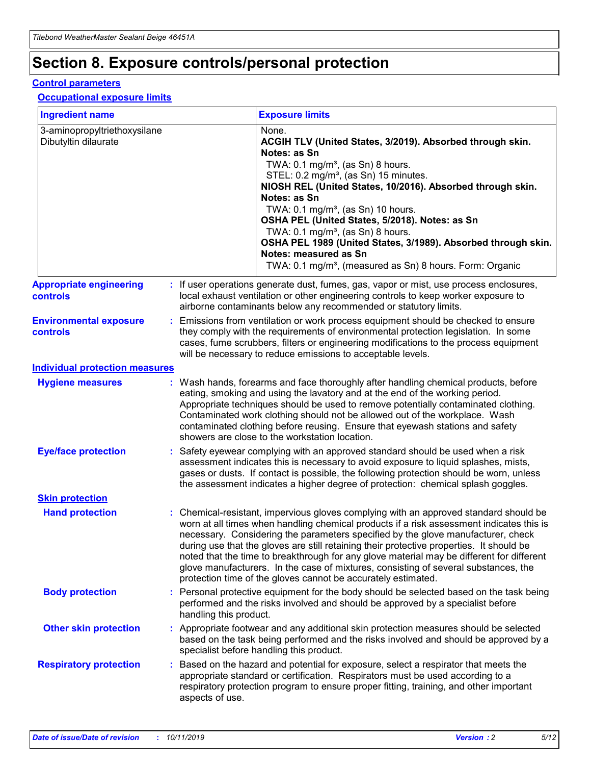## **Section 8. Exposure controls/personal protection**

#### **Control parameters**

#### **Occupational exposure limits**

| <b>Ingredient name</b>                               |    |                        | <b>Exposure limits</b>                                                                                                                                                                                                                                                                                                                                                                                                                                                                                                                                                                                                 |
|------------------------------------------------------|----|------------------------|------------------------------------------------------------------------------------------------------------------------------------------------------------------------------------------------------------------------------------------------------------------------------------------------------------------------------------------------------------------------------------------------------------------------------------------------------------------------------------------------------------------------------------------------------------------------------------------------------------------------|
| 3-aminopropyltriethoxysilane<br>Dibutyltin dilaurate |    |                        | None.<br>ACGIH TLV (United States, 3/2019). Absorbed through skin.<br>Notes: as Sn<br>TWA: $0.1 \text{ mg/m}^3$ , (as Sn) 8 hours.<br>STEL: 0.2 mg/m <sup>3</sup> , (as Sn) 15 minutes.<br>NIOSH REL (United States, 10/2016). Absorbed through skin.<br>Notes: as Sn<br>TWA: 0.1 mg/m <sup>3</sup> , (as Sn) 10 hours.<br>OSHA PEL (United States, 5/2018). Notes: as Sn<br>TWA: 0.1 mg/m <sup>3</sup> , (as Sn) 8 hours.<br>OSHA PEL 1989 (United States, 3/1989). Absorbed through skin.<br>Notes: measured as Sn<br>TWA: 0.1 mg/m <sup>3</sup> , (measured as Sn) 8 hours. Form: Organic                           |
| <b>Appropriate engineering</b><br>controls           |    |                        | : If user operations generate dust, fumes, gas, vapor or mist, use process enclosures,<br>local exhaust ventilation or other engineering controls to keep worker exposure to<br>airborne contaminants below any recommended or statutory limits.                                                                                                                                                                                                                                                                                                                                                                       |
| <b>Environmental exposure</b><br>controls            |    |                        | Emissions from ventilation or work process equipment should be checked to ensure<br>they comply with the requirements of environmental protection legislation. In some<br>cases, fume scrubbers, filters or engineering modifications to the process equipment<br>will be necessary to reduce emissions to acceptable levels.                                                                                                                                                                                                                                                                                          |
| <b>Individual protection measures</b>                |    |                        |                                                                                                                                                                                                                                                                                                                                                                                                                                                                                                                                                                                                                        |
| <b>Hygiene measures</b>                              |    |                        | : Wash hands, forearms and face thoroughly after handling chemical products, before<br>eating, smoking and using the lavatory and at the end of the working period.<br>Appropriate techniques should be used to remove potentially contaminated clothing.<br>Contaminated work clothing should not be allowed out of the workplace. Wash<br>contaminated clothing before reusing. Ensure that eyewash stations and safety<br>showers are close to the workstation location.                                                                                                                                            |
| <b>Eye/face protection</b>                           |    |                        | Safety eyewear complying with an approved standard should be used when a risk<br>assessment indicates this is necessary to avoid exposure to liquid splashes, mists,<br>gases or dusts. If contact is possible, the following protection should be worn, unless<br>the assessment indicates a higher degree of protection: chemical splash goggles.                                                                                                                                                                                                                                                                    |
| <b>Skin protection</b>                               |    |                        |                                                                                                                                                                                                                                                                                                                                                                                                                                                                                                                                                                                                                        |
| <b>Hand protection</b>                               |    |                        | : Chemical-resistant, impervious gloves complying with an approved standard should be<br>worn at all times when handling chemical products if a risk assessment indicates this is<br>necessary. Considering the parameters specified by the glove manufacturer, check<br>during use that the gloves are still retaining their protective properties. It should be<br>noted that the time to breakthrough for any glove material may be different for different<br>glove manufacturers. In the case of mixtures, consisting of several substances, the<br>protection time of the gloves cannot be accurately estimated. |
| <b>Body protection</b>                               |    | handling this product. | Personal protective equipment for the body should be selected based on the task being<br>performed and the risks involved and should be approved by a specialist before                                                                                                                                                                                                                                                                                                                                                                                                                                                |
| <b>Other skin protection</b>                         |    |                        | : Appropriate footwear and any additional skin protection measures should be selected<br>based on the task being performed and the risks involved and should be approved by a<br>specialist before handling this product.                                                                                                                                                                                                                                                                                                                                                                                              |
| <b>Respiratory protection</b>                        | ÷. | aspects of use.        | Based on the hazard and potential for exposure, select a respirator that meets the<br>appropriate standard or certification. Respirators must be used according to a<br>respiratory protection program to ensure proper fitting, training, and other important                                                                                                                                                                                                                                                                                                                                                         |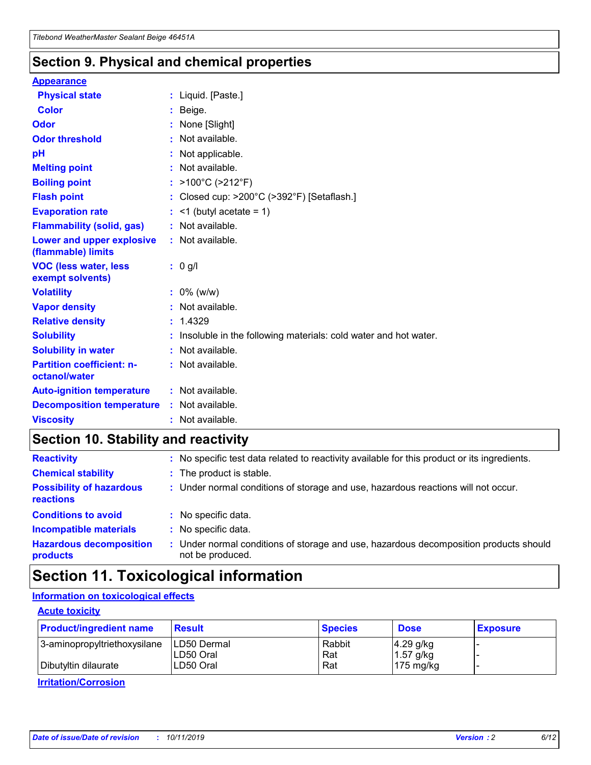### **Section 9. Physical and chemical properties**

#### **Appearance**

| <b>Physical state</b>                             | : Liquid. [Paste.]                                                |
|---------------------------------------------------|-------------------------------------------------------------------|
| Color                                             | Beige.                                                            |
| Odor                                              | None [Slight]                                                     |
| <b>Odor threshold</b>                             | : Not available.                                                  |
| рH                                                | : Not applicable.                                                 |
| <b>Melting point</b>                              | : Not available.                                                  |
| <b>Boiling point</b>                              | : $>100^{\circ}$ C ( $>212^{\circ}$ F)                            |
| <b>Flash point</b>                                | : Closed cup: $>200^{\circ}$ C ( $>392^{\circ}$ F) [Setaflash.]   |
| <b>Evaporation rate</b>                           | $:$ <1 (butyl acetate = 1)                                        |
| <b>Flammability (solid, gas)</b>                  | : Not available.                                                  |
| Lower and upper explosive<br>(flammable) limits   | : Not available.                                                  |
| <b>VOC (less water, less</b><br>exempt solvents)  | $: 0$ g/l                                                         |
| <b>Volatility</b>                                 | $: 0\%$ (w/w)                                                     |
| <b>Vapor density</b>                              | : Not available.                                                  |
| <b>Relative density</b>                           | : 1.4329                                                          |
| <b>Solubility</b>                                 | : Insoluble in the following materials: cold water and hot water. |
| <b>Solubility in water</b>                        | : Not available.                                                  |
| <b>Partition coefficient: n-</b><br>octanol/water | : Not available.                                                  |
| <b>Auto-ignition temperature</b>                  | : Not available.                                                  |
| <b>Decomposition temperature</b>                  | : Not available.                                                  |
| <b>Viscosity</b>                                  | : Not available.                                                  |

### **Section 10. Stability and reactivity**

| <b>Reactivity</b>                            |    | : No specific test data related to reactivity available for this product or its ingredients.            |
|----------------------------------------------|----|---------------------------------------------------------------------------------------------------------|
| <b>Chemical stability</b>                    |    | : The product is stable.                                                                                |
| <b>Possibility of hazardous</b><br>reactions |    | : Under normal conditions of storage and use, hazardous reactions will not occur.                       |
| <b>Conditions to avoid</b>                   |    | : No specific data.                                                                                     |
| <b>Incompatible materials</b>                | ٠. | No specific data.                                                                                       |
| <b>Hazardous decomposition</b><br>products   | ÷. | Under normal conditions of storage and use, hazardous decomposition products should<br>not be produced. |

### **Section 11. Toxicological information**

### **Information on toxicological effects**

#### **Acute toxicity**

| <b>Product/ingredient name</b> | <b>Result</b> | <b>Species</b> | <b>Dose</b>         | <b>Exposure</b> |
|--------------------------------|---------------|----------------|---------------------|-----------------|
| 3-aminopropyltriethoxysilane   | LD50 Dermal   | Rabbit         | $4.29$ g/kg         |                 |
|                                | ILD50 Oral    | Rat            | 1.57 g/kg           |                 |
| Dibutyltin dilaurate           | LD50 Oral     | Rat            | $175 \text{ mg/kg}$ |                 |

**Irritation/Corrosion**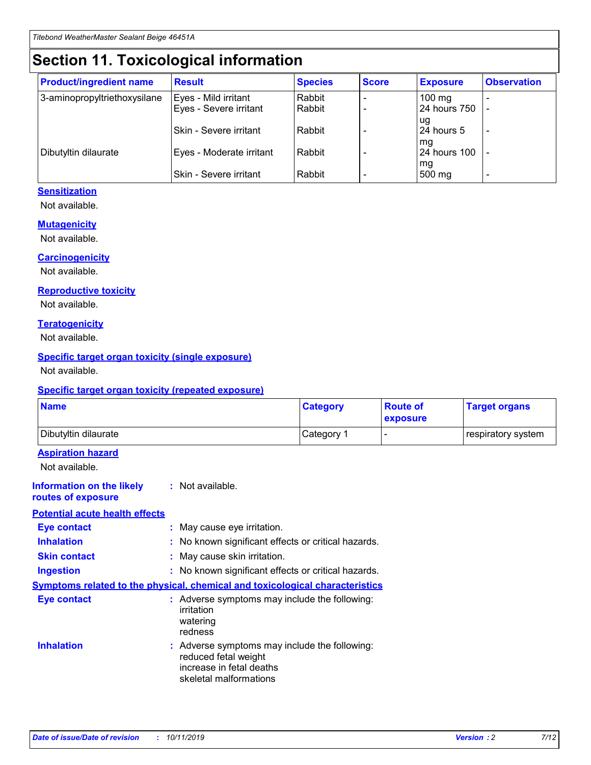## **Section 11. Toxicological information**

| <b>Product/ingredient name</b> | <b>Result</b>            | <b>Species</b> | <b>Score</b> | <b>Exposure</b>           | <b>Observation</b> |
|--------------------------------|--------------------------|----------------|--------------|---------------------------|--------------------|
| 3-aminopropyltriethoxysilane   | Eyes - Mild irritant     | Rabbit         |              | $100$ mg                  |                    |
|                                | Eyes - Severe irritant   | Rabbit         |              | 24 hours 750              |                    |
|                                |                          |                |              | ug                        |                    |
|                                | Skin - Severe irritant   | Rabbit         |              | 24 hours 5                | -                  |
| Dibutyltin dilaurate           | Eyes - Moderate irritant | Rabbit         |              | mq<br><b>24 hours 100</b> |                    |
|                                |                          |                |              | mg                        |                    |
|                                | Skin - Severe irritant   | Rabbit         |              | 500 mg                    |                    |

### **Sensitization**

Not available.

#### **Mutagenicity**

Not available.

#### **Carcinogenicity**

Not available.

#### **Reproductive toxicity**

Not available.

#### **Teratogenicity**

Not available.

#### **Specific target organ toxicity (single exposure)**

Not available.

#### **Specific target organ toxicity (repeated exposure)**

| <b>Name</b>                                                                         |                                                                            | <b>Category</b>                                     | <b>Route of</b><br>exposure | <b>Target organs</b> |
|-------------------------------------------------------------------------------------|----------------------------------------------------------------------------|-----------------------------------------------------|-----------------------------|----------------------|
| Dibutyltin dilaurate                                                                |                                                                            | Category 1                                          |                             | respiratory system   |
| <b>Aspiration hazard</b><br>Not available.                                          |                                                                            |                                                     |                             |                      |
| <b>Information on the likely</b><br>routes of exposure                              | : Not available.                                                           |                                                     |                             |                      |
| <b>Potential acute health effects</b>                                               |                                                                            |                                                     |                             |                      |
| <b>Eye contact</b>                                                                  | : May cause eye irritation.                                                |                                                     |                             |                      |
| <b>Inhalation</b>                                                                   |                                                                            | : No known significant effects or critical hazards. |                             |                      |
| <b>Skin contact</b>                                                                 | : May cause skin irritation.                                               |                                                     |                             |                      |
| <b>Ingestion</b>                                                                    |                                                                            | : No known significant effects or critical hazards. |                             |                      |
| <b>Symptoms related to the physical, chemical and toxicological characteristics</b> |                                                                            |                                                     |                             |                      |
| <b>Eye contact</b>                                                                  | irritation<br>watering<br>redness                                          | : Adverse symptoms may include the following:       |                             |                      |
| <b>Inhalation</b>                                                                   | reduced fetal weight<br>increase in fetal deaths<br>skeletal malformations | : Adverse symptoms may include the following:       |                             |                      |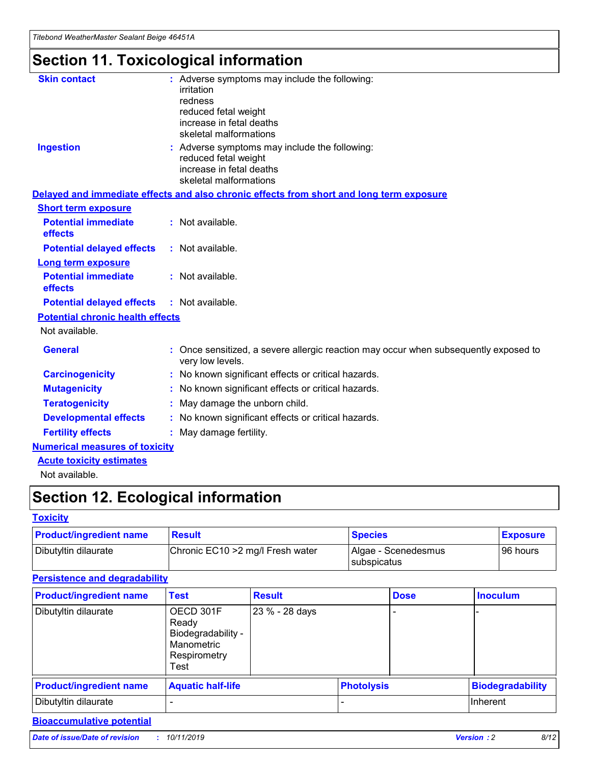## **Section 11. Toxicological information**

| <b>Skin contact</b>                     | : Adverse symptoms may include the following:                                                            |
|-----------------------------------------|----------------------------------------------------------------------------------------------------------|
|                                         | irritation                                                                                               |
|                                         | redness                                                                                                  |
|                                         | reduced fetal weight                                                                                     |
|                                         | increase in fetal deaths                                                                                 |
|                                         | skeletal malformations                                                                                   |
| <b>Ingestion</b>                        | : Adverse symptoms may include the following:                                                            |
|                                         | reduced fetal weight                                                                                     |
|                                         | increase in fetal deaths                                                                                 |
|                                         | skeletal malformations                                                                                   |
|                                         | Delayed and immediate effects and also chronic effects from short and long term exposure                 |
| <b>Short term exposure</b>              |                                                                                                          |
| <b>Potential immediate</b>              | : Not available.                                                                                         |
| effects                                 |                                                                                                          |
| <b>Potential delayed effects</b>        | : Not available.                                                                                         |
| Long term exposure                      |                                                                                                          |
| <b>Potential immediate</b>              | : Not available.                                                                                         |
| effects                                 |                                                                                                          |
| <b>Potential delayed effects</b>        | : Not available.                                                                                         |
| <b>Potential chronic health effects</b> |                                                                                                          |
| Not available.                          |                                                                                                          |
| <b>General</b>                          | : Once sensitized, a severe allergic reaction may occur when subsequently exposed to<br>very low levels. |
| <b>Carcinogenicity</b>                  | : No known significant effects or critical hazards.                                                      |
| <b>Mutagenicity</b>                     | : No known significant effects or critical hazards.                                                      |
| <b>Teratogenicity</b>                   | May damage the unborn child.                                                                             |
| <b>Developmental effects</b>            | : No known significant effects or critical hazards.                                                      |
| <b>Fertility effects</b>                | May damage fertility.                                                                                    |
| <b>Numerical measures of toxicity</b>   |                                                                                                          |
| <b>Acute toxicity estimates</b>         |                                                                                                          |
| الملحلة والمستحقق فالمرابط              |                                                                                                          |

Not available.

## **Section 12. Ecological information**

#### **Toxicity**

| <b>Product/ingredient name</b> | <b>Result</b>                     | <b>Species</b>                       | <b>Exposure</b> |
|--------------------------------|-----------------------------------|--------------------------------------|-----------------|
| Dibutyltin dilaurate           | Chronic EC10 > 2 mg/l Fresh water | Algae - Scenedesmus<br>I subspicatus | l 96 hours i    |

### **Persistence and degradability**

| <b>Product/ingredient name</b> | <b>Test</b>                                                                    | <b>Result</b>  |                   | <b>Dose</b> | <b>Inoculum</b>         |
|--------------------------------|--------------------------------------------------------------------------------|----------------|-------------------|-------------|-------------------------|
| Dibutyltin dilaurate           | OECD 301F<br>Ready<br>Biodegradability -<br>Manometric<br>Respirometry<br>Test | 23 % - 28 days |                   |             |                         |
| <b>Product/ingredient name</b> | <b>Aquatic half-life</b>                                                       |                | <b>Photolysis</b> |             | <b>Biodegradability</b> |
| Dibutyltin dilaurate           |                                                                                |                |                   |             | Inherent                |

### **Bioaccumulative potential**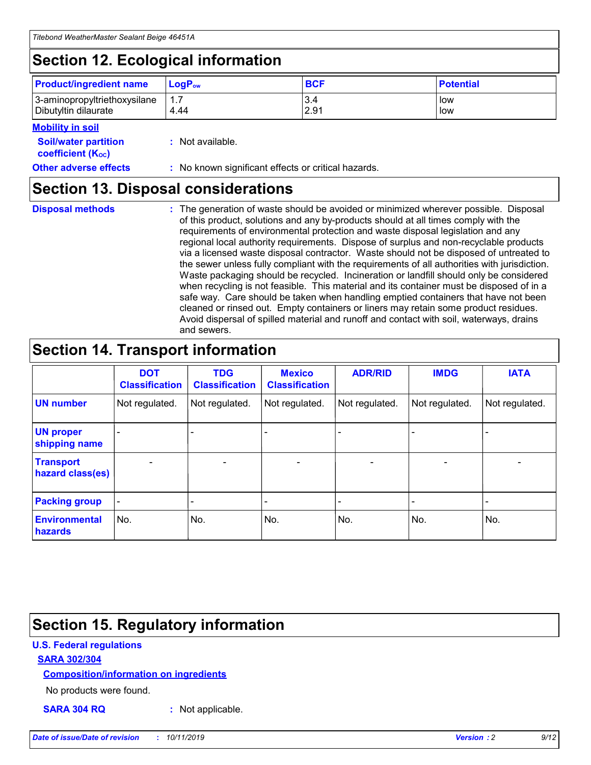## **Section 12. Ecological information**

| <b>Product/ingredient name</b> | $LoaPow$ | <b>BCF</b> | <b>Potential</b> |
|--------------------------------|----------|------------|------------------|
| 3-aminopropyltriethoxysilane   | 1.7      | 3.4        | low              |
| Dibutyltin dilaurate           | 4.44     | 2.91       | low              |

#### **Mobility in soil**

| <i></i>                                                       |                                                     |
|---------------------------------------------------------------|-----------------------------------------------------|
| <b>Soil/water partition</b><br>coefficient (K <sub>oc</sub> ) | : Not available.                                    |
| <b>Other adverse effects</b>                                  | : No known significant effects or critical hazards. |

### **Section 13. Disposal considerations**

**Disposal methods :**

The generation of waste should be avoided or minimized wherever possible. Disposal of this product, solutions and any by-products should at all times comply with the requirements of environmental protection and waste disposal legislation and any regional local authority requirements. Dispose of surplus and non-recyclable products via a licensed waste disposal contractor. Waste should not be disposed of untreated to the sewer unless fully compliant with the requirements of all authorities with jurisdiction. Waste packaging should be recycled. Incineration or landfill should only be considered when recycling is not feasible. This material and its container must be disposed of in a safe way. Care should be taken when handling emptied containers that have not been cleaned or rinsed out. Empty containers or liners may retain some product residues. Avoid dispersal of spilled material and runoff and contact with soil, waterways, drains and sewers.

## **Section 14. Transport information**

|                                      | <b>DOT</b><br><b>Classification</b> | <b>TDG</b><br><b>Classification</b> | <b>Mexico</b><br><b>Classification</b> | <b>ADR/RID</b>               | <b>IMDG</b>    | <b>IATA</b>              |
|--------------------------------------|-------------------------------------|-------------------------------------|----------------------------------------|------------------------------|----------------|--------------------------|
| <b>UN number</b>                     | Not regulated.                      | Not regulated.                      | Not regulated.                         | Not regulated.               | Not regulated. | Not regulated.           |
| <b>UN proper</b><br>shipping name    |                                     |                                     |                                        |                              |                |                          |
| <b>Transport</b><br>hazard class(es) | $\blacksquare$                      | $\overline{\phantom{0}}$            | $\overline{\phantom{a}}$               | $\qquad \qquad \blacksquare$ | $\blacksquare$ | $\overline{\phantom{0}}$ |
| <b>Packing group</b>                 | $\overline{\phantom{a}}$            | -                                   |                                        | -                            |                | -                        |
| <b>Environmental</b><br>hazards      | No.                                 | No.                                 | No.                                    | No.                          | No.            | No.                      |

## **Section 15. Regulatory information**

#### **U.S. Federal regulations**

#### **SARA 302/304**

#### **Composition/information on ingredients**

No products were found.

**SARA 304 RQ :** Not applicable.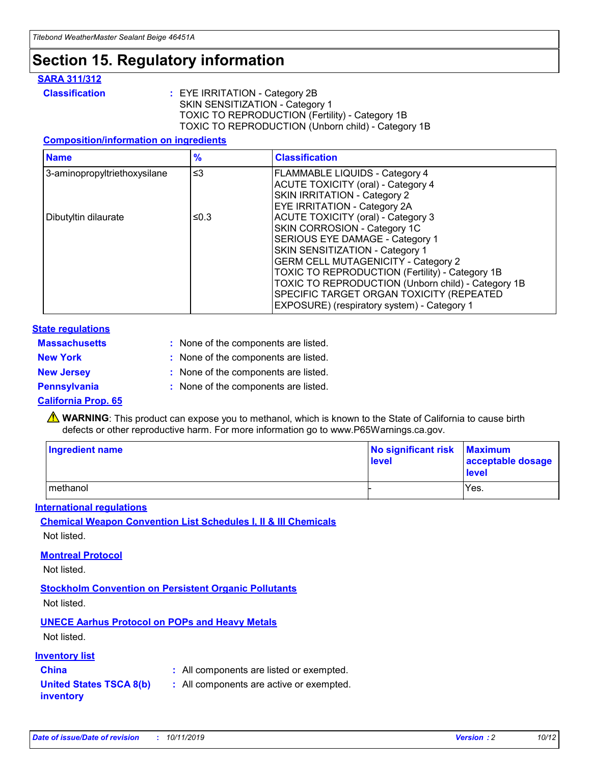## **Section 15. Regulatory information**

#### **SARA 311/312**

**Classification :** EYE IRRITATION - Category 2B SKIN SENSITIZATION - Category 1 TOXIC TO REPRODUCTION (Fertility) - Category 1B TOXIC TO REPRODUCTION (Unborn child) - Category 1B

#### **Composition/information on ingredients**

| <b>Name</b>                  | $\frac{9}{6}$ | <b>Classification</b>                                                                                            |
|------------------------------|---------------|------------------------------------------------------------------------------------------------------------------|
| 3-aminopropyltriethoxysilane | $\leq$ 3      | <b>FLAMMABLE LIQUIDS - Category 4</b><br><b>ACUTE TOXICITY (oral) - Category 4</b>                               |
|                              |               | SKIN IRRITATION - Category 2<br>EYE IRRITATION - Category 2A                                                     |
| Dibutyltin dilaurate         | ≤0.3          | ACUTE TOXICITY (oral) - Category 3<br>SKIN CORROSION - Category 1C                                               |
|                              |               | SERIOUS EYE DAMAGE - Category 1<br>SKIN SENSITIZATION - Category 1<br><b>GERM CELL MUTAGENICITY - Category 2</b> |
|                              |               | TOXIC TO REPRODUCTION (Fertility) - Category 1B<br>TOXIC TO REPRODUCTION (Unborn child) - Category 1B            |
|                              |               | SPECIFIC TARGET ORGAN TOXICITY (REPEATED<br>EXPOSURE) (respiratory system) - Category 1                          |

#### **State regulations**

| <b>Massachusetts</b> | : None of the components are listed. |
|----------------------|--------------------------------------|
| <b>New York</b>      | : None of the components are listed. |
| <b>New Jersey</b>    | : None of the components are listed. |
| <b>Pennsylvania</b>  | : None of the components are listed. |

#### **California Prop. 65**

**A** WARNING: This product can expose you to methanol, which is known to the State of California to cause birth defects or other reproductive harm. For more information go to www.P65Warnings.ca.gov.

| <b>Ingredient name</b> | No significant risk Maximum<br>level | acceptable dosage<br>level |
|------------------------|--------------------------------------|----------------------------|
| methanol               |                                      | Yes.                       |

#### **International regulations**

**Chemical Weapon Convention List Schedules I, II & III Chemicals** Not listed.

#### **Montreal Protocol**

Not listed.

#### **Stockholm Convention on Persistent Organic Pollutants**

Not listed.

### **UNECE Aarhus Protocol on POPs and Heavy Metals**

Not listed.

#### **Inventory list**

### **China :** All components are listed or exempted.

#### **United States TSCA 8(b) inventory :** All components are active or exempted.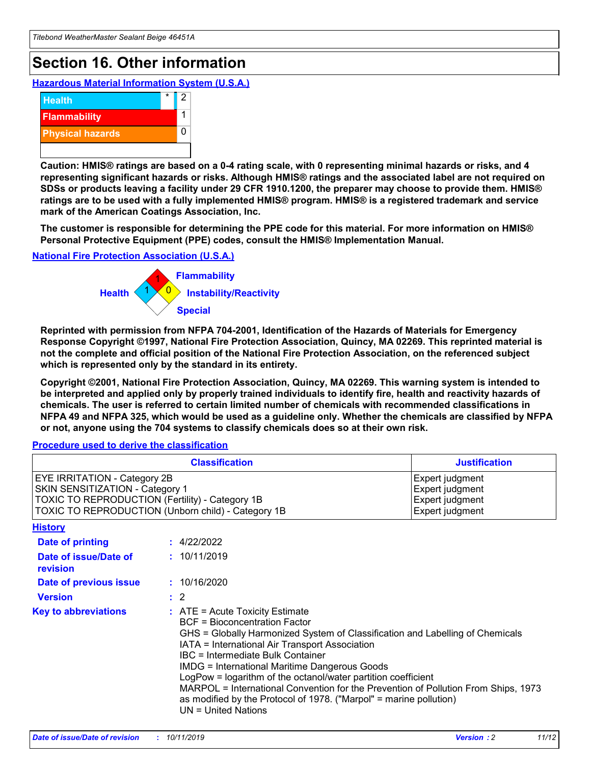## **Section 16. Other information**

**Hazardous Material Information System (U.S.A.)**



**Caution: HMIS® ratings are based on a 0-4 rating scale, with 0 representing minimal hazards or risks, and 4 representing significant hazards or risks. Although HMIS® ratings and the associated label are not required on SDSs or products leaving a facility under 29 CFR 1910.1200, the preparer may choose to provide them. HMIS® ratings are to be used with a fully implemented HMIS® program. HMIS® is a registered trademark and service mark of the American Coatings Association, Inc.**

**The customer is responsible for determining the PPE code for this material. For more information on HMIS® Personal Protective Equipment (PPE) codes, consult the HMIS® Implementation Manual.**

#### **National Fire Protection Association (U.S.A.)**



**Reprinted with permission from NFPA 704-2001, Identification of the Hazards of Materials for Emergency Response Copyright ©1997, National Fire Protection Association, Quincy, MA 02269. This reprinted material is not the complete and official position of the National Fire Protection Association, on the referenced subject which is represented only by the standard in its entirety.**

**Copyright ©2001, National Fire Protection Association, Quincy, MA 02269. This warning system is intended to be interpreted and applied only by properly trained individuals to identify fire, health and reactivity hazards of chemicals. The user is referred to certain limited number of chemicals with recommended classifications in NFPA 49 and NFPA 325, which would be used as a guideline only. Whether the chemicals are classified by NFPA or not, anyone using the 704 systems to classify chemicals does so at their own risk.**

**Procedure used to derive the classification**

| <b>Classification</b>                                                                                                                                                    |                                                                                                                                                  | <b>Justification</b>                                                                                                                                                                                                                                                                                                                                                                                                 |  |
|--------------------------------------------------------------------------------------------------------------------------------------------------------------------------|--------------------------------------------------------------------------------------------------------------------------------------------------|----------------------------------------------------------------------------------------------------------------------------------------------------------------------------------------------------------------------------------------------------------------------------------------------------------------------------------------------------------------------------------------------------------------------|--|
| EYE IRRITATION - Category 2B<br>SKIN SENSITIZATION - Category 1<br>TOXIC TO REPRODUCTION (Fertility) - Category 1B<br>TOXIC TO REPRODUCTION (Unborn child) - Category 1B |                                                                                                                                                  | Expert judgment<br>Expert judgment<br>Expert judgment<br>Expert judgment                                                                                                                                                                                                                                                                                                                                             |  |
| <b>History</b>                                                                                                                                                           |                                                                                                                                                  |                                                                                                                                                                                                                                                                                                                                                                                                                      |  |
| Date of printing                                                                                                                                                         | : 4/22/2022                                                                                                                                      |                                                                                                                                                                                                                                                                                                                                                                                                                      |  |
| Date of issue/Date of<br>revision                                                                                                                                        | : 10/11/2019                                                                                                                                     |                                                                                                                                                                                                                                                                                                                                                                                                                      |  |
| Date of previous issue                                                                                                                                                   | : 10/16/2020                                                                                                                                     |                                                                                                                                                                                                                                                                                                                                                                                                                      |  |
| <b>Version</b>                                                                                                                                                           | $\therefore$ 2                                                                                                                                   |                                                                                                                                                                                                                                                                                                                                                                                                                      |  |
| <b>Key to abbreviations</b>                                                                                                                                              | $\therefore$ ATE = Acute Toxicity Estimate<br><b>BCF</b> = Bioconcentration Factor<br>IBC = Intermediate Bulk Container<br>$UN = United Nations$ | GHS = Globally Harmonized System of Classification and Labelling of Chemicals<br>IATA = International Air Transport Association<br><b>IMDG = International Maritime Dangerous Goods</b><br>LogPow = logarithm of the octanol/water partition coefficient<br>MARPOL = International Convention for the Prevention of Pollution From Ships, 1973<br>as modified by the Protocol of 1978. ("Marpol" = marine pollution) |  |